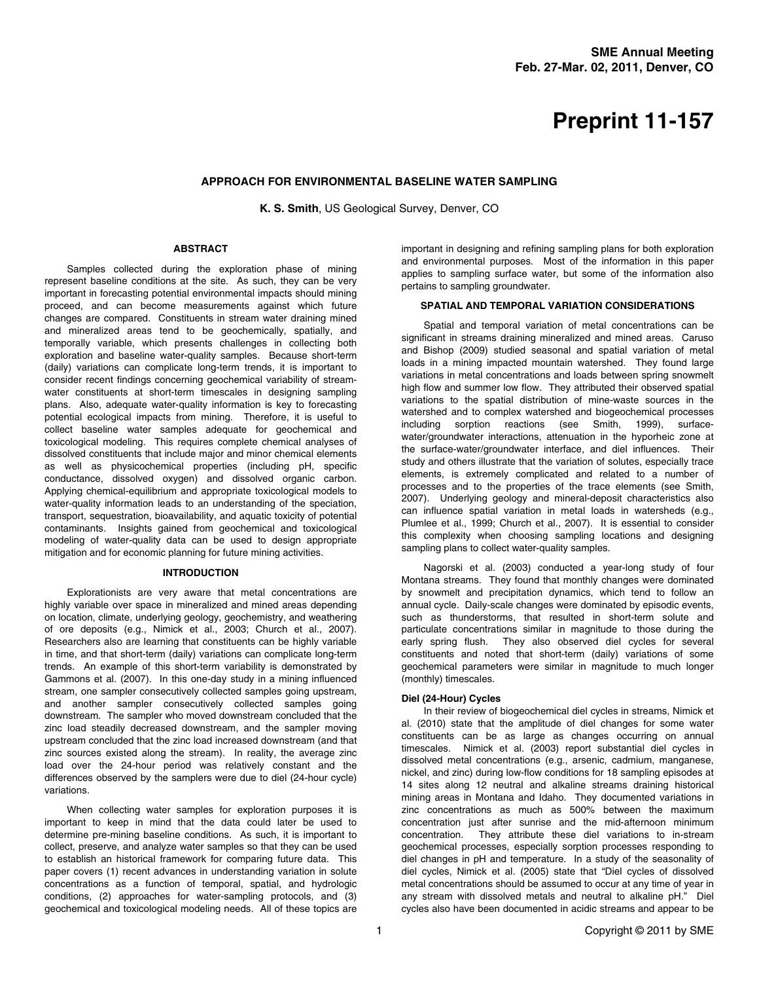# **Preprint 11-157**

## **APPROACH FOR ENVIRONMENTAL BASELINE WATER SAMPLING**

**K. S. Smith**, US Geological Survey, Denver, CO

## **ABSTRACT**

Samples collected during the exploration phase of mining represent baseline conditions at the site. As such, they can be very important in forecasting potential environmental impacts should mining proceed, and can become measurements against which future changes are compared. Constituents in stream water draining mined and mineralized areas tend to be geochemically, spatially, and temporally variable, which presents challenges in collecting both exploration and baseline water-quality samples. Because short-term (daily) variations can complicate long-term trends, it is important to consider recent findings concerning geochemical variability of streamwater constituents at short-term timescales in designing sampling plans. Also, adequate water-quality information is key to forecasting potential ecological impacts from mining. Therefore, it is useful to collect baseline water samples adequate for geochemical and toxicological modeling. This requires complete chemical analyses of dissolved constituents that include major and minor chemical elements as well as physicochemical properties (including pH, specific conductance, dissolved oxygen) and dissolved organic carbon. Applying chemical-equilibrium and appropriate toxicological models to water-quality information leads to an understanding of the speciation, transport, sequestration, bioavailability, and aquatic toxicity of potential contaminants. Insights gained from geochemical and toxicological modeling of water-quality data can be used to design appropriate mitigation and for economic planning for future mining activities.

## **INTRODUCTION**

Explorationists are very aware that metal concentrations are highly variable over space in mineralized and mined areas depending on location, climate, underlying geology, geochemistry, and weathering of ore deposits (e.g., Nimick et al., 2003; Church et al., 2007). Researchers also are learning that constituents can be highly variable in time, and that short-term (daily) variations can complicate long-term trends. An example of this short-term variability is demonstrated by Gammons et al. (2007). In this one-day study in a mining influenced stream, one sampler consecutively collected samples going upstream, and another sampler consecutively collected samples going downstream. The sampler who moved downstream concluded that the zinc load steadily decreased downstream, and the sampler moving upstream concluded that the zinc load increased downstream (and that zinc sources existed along the stream). In reality, the average zinc load over the 24-hour period was relatively constant and the differences observed by the samplers were due to diel (24-hour cycle) variations.

When collecting water samples for exploration purposes it is important to keep in mind that the data could later be used to determine pre-mining baseline conditions. As such, it is important to collect, preserve, and analyze water samples so that they can be used to establish an historical framework for comparing future data. This paper covers (1) recent advances in understanding variation in solute concentrations as a function of temporal, spatial, and hydrologic conditions, (2) approaches for water-sampling protocols, and (3) geochemical and toxicological modeling needs. All of these topics are

important in designing and refining sampling plans for both exploration and environmental purposes. Most of the information in this paper applies to sampling surface water, but some of the information also pertains to sampling groundwater.

## **SPATIAL AND TEMPORAL VARIATION CONSIDERATIONS**

Spatial and temporal variation of metal concentrations can be significant in streams draining mineralized and mined areas. Caruso and Bishop (2009) studied seasonal and spatial variation of metal loads in a mining impacted mountain watershed. They found large variations in metal concentrations and loads between spring snowmelt high flow and summer low flow. They attributed their observed spatial variations to the spatial distribution of mine-waste sources in the watershed and to complex watershed and biogeochemical processes including sorption reactions (see Smith, 1999), surfacewater/groundwater interactions, attenuation in the hyporheic zone at the surface-water/groundwater interface, and diel influences. Their study and others illustrate that the variation of solutes, especially trace elements, is extremely complicated and related to a number of processes and to the properties of the trace elements (see Smith, 2007). Underlying geology and mineral-deposit characteristics also can influence spatial variation in metal loads in watersheds (e.g., Plumlee et al., 1999; Church et al., 2007). It is essential to consider this complexity when choosing sampling locations and designing sampling plans to collect water-quality samples.

Nagorski et al. (2003) conducted a year-long study of four Montana streams. They found that monthly changes were dominated by snowmelt and precipitation dynamics, which tend to follow an annual cycle. Daily-scale changes were dominated by episodic events, such as thunderstorms, that resulted in short-term solute and particulate concentrations similar in magnitude to those during the early spring flush. They also observed diel cycles for several constituents and noted that short-term (daily) variations of some geochemical parameters were similar in magnitude to much longer (monthly) timescales.

#### **Diel (24-Hour) Cycles**

In their review of biogeochemical diel cycles in streams, Nimick et al. (2010) state that the amplitude of diel changes for some water constituents can be as large as changes occurring on annual timescales. Nimick et al. (2003) report substantial diel cycles in dissolved metal concentrations (e.g., arsenic, cadmium, manganese, nickel, and zinc) during low-flow conditions for 18 sampling episodes at 14 sites along 12 neutral and alkaline streams draining historical mining areas in Montana and Idaho. They documented variations in zinc concentrations as much as 500% between the maximum concentration just after sunrise and the mid-afternoon minimum concentration. They attribute these diel variations to in-stream geochemical processes, especially sorption processes responding to diel changes in pH and temperature. In a study of the seasonality of diel cycles, Nimick et al. (2005) state that "Diel cycles of dissolved metal concentrations should be assumed to occur at any time of year in any stream with dissolved metals and neutral to alkaline pH." Diel cycles also have been documented in acidic streams and appear to be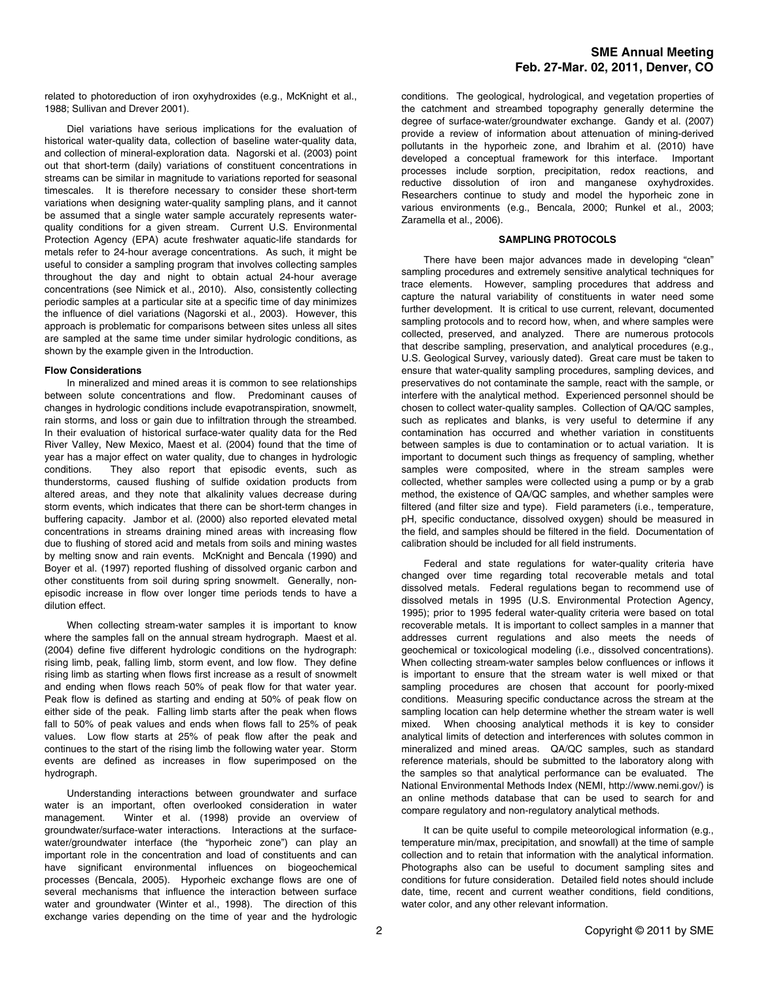related to photoreduction of iron oxyhydroxides (e.g., McKnight et al., 1988; Sullivan and Drever 2001).

Diel variations have serious implications for the evaluation of historical water-quality data, collection of baseline water-quality data, and collection of mineral-exploration data. Nagorski et al. (2003) point out that short-term (daily) variations of constituent concentrations in streams can be similar in magnitude to variations reported for seasonal timescales. It is therefore necessary to consider these short-term variations when designing water-quality sampling plans, and it cannot be assumed that a single water sample accurately represents waterquality conditions for a given stream. Current U.S. Environmental Protection Agency (EPA) acute freshwater aquatic-life standards for metals refer to 24-hour average concentrations. As such, it might be useful to consider a sampling program that involves collecting samples throughout the day and night to obtain actual 24-hour average concentrations (see Nimick et al., 2010). Also, consistently collecting periodic samples at a particular site at a specific time of day minimizes the influence of diel variations (Nagorski et al., 2003). However, this approach is problematic for comparisons between sites unless all sites are sampled at the same time under similar hydrologic conditions, as shown by the example given in the Introduction.

#### **Flow Considerations**

In mineralized and mined areas it is common to see relationships between solute concentrations and flow. Predominant causes of changes in hydrologic conditions include evapotranspiration, snowmelt, rain storms, and loss or gain due to infiltration through the streambed. In their evaluation of historical surface-water quality data for the Red River Valley, New Mexico, Maest et al. (2004) found that the time of year has a major effect on water quality, due to changes in hydrologic conditions. They also report that episodic events, such as thunderstorms, caused flushing of sulfide oxidation products from altered areas, and they note that alkalinity values decrease during storm events, which indicates that there can be short-term changes in buffering capacity. Jambor et al. (2000) also reported elevated metal concentrations in streams draining mined areas with increasing flow due to flushing of stored acid and metals from soils and mining wastes by melting snow and rain events. McKnight and Bencala (1990) and Boyer et al. (1997) reported flushing of dissolved organic carbon and other constituents from soil during spring snowmelt. Generally, nonepisodic increase in flow over longer time periods tends to have a dilution effect.

When collecting stream-water samples it is important to know where the samples fall on the annual stream hydrograph. Maest et al. (2004) define five different hydrologic conditions on the hydrograph: rising limb, peak, falling limb, storm event, and low flow. They define rising limb as starting when flows first increase as a result of snowmelt and ending when flows reach 50% of peak flow for that water year. Peak flow is defined as starting and ending at 50% of peak flow on either side of the peak. Falling limb starts after the peak when flows fall to 50% of peak values and ends when flows fall to 25% of peak values. Low flow starts at 25% of peak flow after the peak and continues to the start of the rising limb the following water year. Storm events are defined as increases in flow superimposed on the hydrograph.

Understanding interactions between groundwater and surface water is an important, often overlooked consideration in water management. Winter et al. (1998) provide an overview of groundwater/surface-water interactions. Interactions at the surfacewater/groundwater interface (the "hyporheic zone") can play an important role in the concentration and load of constituents and can have significant environmental influences on biogeochemical processes (Bencala, 2005). Hyporheic exchange flows are one of several mechanisms that influence the interaction between surface water and groundwater (Winter et al., 1998). The direction of this exchange varies depending on the time of year and the hydrologic

conditions. The geological, hydrological, and vegetation properties of the catchment and streambed topography generally determine the degree of surface-water/groundwater exchange. Gandy et al. (2007) provide a review of information about attenuation of mining-derived pollutants in the hyporheic zone, and Ibrahim et al. (2010) have developed a conceptual framework for this interface. Important processes include sorption, precipitation, redox reactions, and reductive dissolution of iron and manganese oxyhydroxides. Researchers continue to study and model the hyporheic zone in various environments (e.g., Bencala, 2000; Runkel et al., 2003; Zaramella et al., 2006).

#### **SAMPLING PROTOCOLS**

There have been major advances made in developing "clean" sampling procedures and extremely sensitive analytical techniques for trace elements. However, sampling procedures that address and capture the natural variability of constituents in water need some further development. It is critical to use current, relevant, documented sampling protocols and to record how, when, and where samples were collected, preserved, and analyzed. There are numerous protocols that describe sampling, preservation, and analytical procedures (e.g., U.S. Geological Survey, variously dated). Great care must be taken to ensure that water-quality sampling procedures, sampling devices, and preservatives do not contaminate the sample, react with the sample, or interfere with the analytical method. Experienced personnel should be chosen to collect water-quality samples. Collection of QA/QC samples, such as replicates and blanks, is very useful to determine if any contamination has occurred and whether variation in constituents between samples is due to contamination or to actual variation. It is important to document such things as frequency of sampling, whether samples were composited, where in the stream samples were collected, whether samples were collected using a pump or by a grab method, the existence of QA/QC samples, and whether samples were filtered (and filter size and type). Field parameters (i.e., temperature, pH, specific conductance, dissolved oxygen) should be measured in the field, and samples should be filtered in the field. Documentation of calibration should be included for all field instruments.

Federal and state regulations for water-quality criteria have changed over time regarding total recoverable metals and total dissolved metals. Federal regulations began to recommend use of dissolved metals in 1995 (U.S. Environmental Protection Agency, 1995); prior to 1995 federal water-quality criteria were based on total recoverable metals. It is important to collect samples in a manner that addresses current regulations and also meets the needs of geochemical or toxicological modeling (i.e., dissolved concentrations). When collecting stream-water samples below confluences or inflows it is important to ensure that the stream water is well mixed or that sampling procedures are chosen that account for poorly-mixed conditions. Measuring specific conductance across the stream at the sampling location can help determine whether the stream water is well mixed. When choosing analytical methods it is key to consider analytical limits of detection and interferences with solutes common in mineralized and mined areas. QA/QC samples, such as standard reference materials, should be submitted to the laboratory along with the samples so that analytical performance can be evaluated. The National Environmental Methods Index (NEMI, http://www.nemi.gov/) is an online methods database that can be used to search for and compare regulatory and non-regulatory analytical methods.

It can be quite useful to compile meteorological information (e.g., temperature min/max, precipitation, and snowfall) at the time of sample collection and to retain that information with the analytical information. Photographs also can be useful to document sampling sites and conditions for future consideration. Detailed field notes should include date, time, recent and current weather conditions, field conditions, water color, and any other relevant information.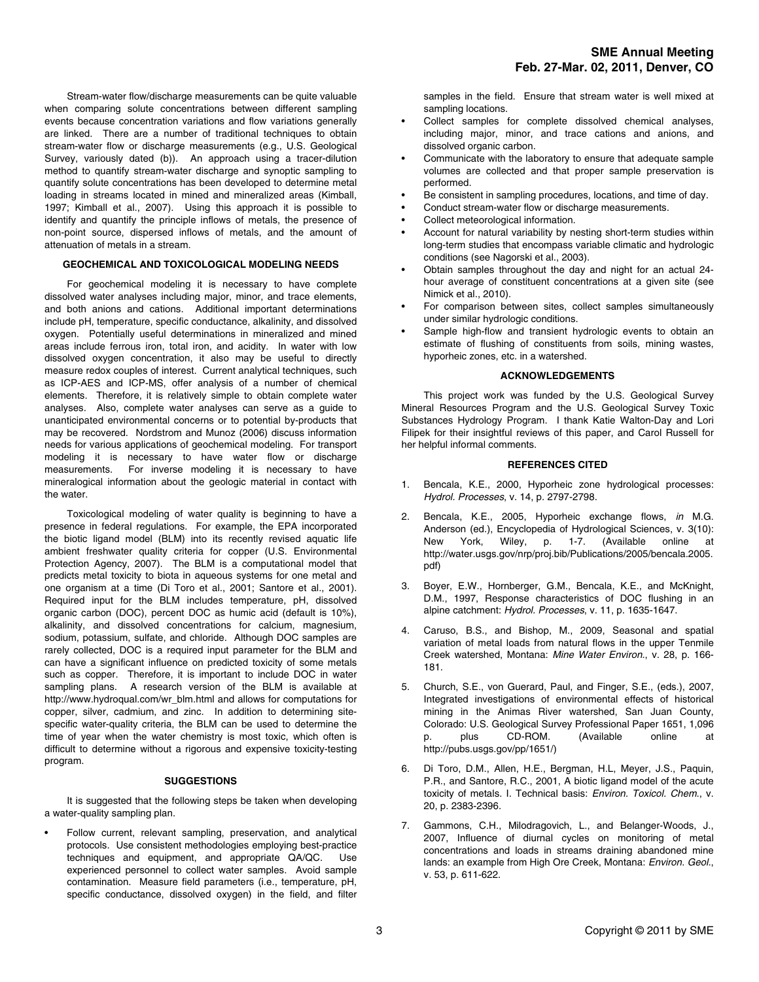Stream-water flow/discharge measurements can be quite valuable when comparing solute concentrations between different sampling events because concentration variations and flow variations generally are linked. There are a number of traditional techniques to obtain stream-water flow or discharge measurements (e.g., U.S. Geological Survey, variously dated (b)). An approach using a tracer-dilution method to quantify stream-water discharge and synoptic sampling to quantify solute concentrations has been developed to determine metal loading in streams located in mined and mineralized areas (Kimball, 1997; Kimball et al., 2007). Using this approach it is possible to identify and quantify the principle inflows of metals, the presence of non-point source, dispersed inflows of metals, and the amount of attenuation of metals in a stream.

### **GEOCHEMICAL AND TOXICOLOGICAL MODELING NEEDS**

For geochemical modeling it is necessary to have complete dissolved water analyses including major, minor, and trace elements, and both anions and cations. Additional important determinations include pH, temperature, specific conductance, alkalinity, and dissolved oxygen. Potentially useful determinations in mineralized and mined areas include ferrous iron, total iron, and acidity. In water with low dissolved oxygen concentration, it also may be useful to directly measure redox couples of interest. Current analytical techniques, such as ICP-AES and ICP-MS, offer analysis of a number of chemical elements. Therefore, it is relatively simple to obtain complete water analyses. Also, complete water analyses can serve as a guide to unanticipated environmental concerns or to potential by-products that may be recovered. Nordstrom and Munoz (2006) discuss information needs for various applications of geochemical modeling. For transport modeling it is necessary to have water flow or discharge measurements. For inverse modeling it is necessary to have mineralogical information about the geologic material in contact with the water.

Toxicological modeling of water quality is beginning to have a presence in federal regulations. For example, the EPA incorporated the biotic ligand model (BLM) into its recently revised aquatic life ambient freshwater quality criteria for copper (U.S. Environmental Protection Agency, 2007). The BLM is a computational model that predicts metal toxicity to biota in aqueous systems for one metal and one organism at a time (Di Toro et al., 2001; Santore et al., 2001). Required input for the BLM includes temperature, pH, dissolved organic carbon (DOC), percent DOC as humic acid (default is 10%), alkalinity, and dissolved concentrations for calcium, magnesium, sodium, potassium, sulfate, and chloride. Although DOC samples are rarely collected, DOC is a required input parameter for the BLM and can have a significant influence on predicted toxicity of some metals such as copper. Therefore, it is important to include DOC in water sampling plans. A research version of the BLM is available at http://www.hydroqual.com/wr\_blm.html and allows for computations for copper, silver, cadmium, and zinc. In addition to determining sitespecific water-quality criteria, the BLM can be used to determine the time of year when the water chemistry is most toxic, which often is difficult to determine without a rigorous and expensive toxicity-testing program.

#### **SUGGESTIONS**

It is suggested that the following steps be taken when developing a water-quality sampling plan.

• Follow current, relevant sampling, preservation, and analytical protocols. Use consistent methodologies employing best-practice techniques and equipment, and appropriate QA/QC. Use experienced personnel to collect water samples. Avoid sample contamination. Measure field parameters (i.e., temperature, pH, specific conductance, dissolved oxygen) in the field, and filter

samples in the field. Ensure that stream water is well mixed at sampling locations.

- Collect samples for complete dissolved chemical analyses, including major, minor, and trace cations and anions, and dissolved organic carbon.
- Communicate with the laboratory to ensure that adequate sample volumes are collected and that proper sample preservation is performed.
- Be consistent in sampling procedures, locations, and time of day.
- Conduct stream-water flow or discharge measurements.
- Collect meteorological information.
- Account for natural variability by nesting short-term studies within long-term studies that encompass variable climatic and hydrologic conditions (see Nagorski et al., 2003).
- Obtain samples throughout the day and night for an actual 24 hour average of constituent concentrations at a given site (see Nimick et al., 2010).
- For comparison between sites, collect samples simultaneously under similar hydrologic conditions.
- Sample high-flow and transient hydrologic events to obtain an estimate of flushing of constituents from soils, mining wastes, hyporheic zones, etc. in a watershed.

### **ACKNOWLEDGEMENTS**

This project work was funded by the U.S. Geological Survey Mineral Resources Program and the U.S. Geological Survey Toxic Substances Hydrology Program. I thank Katie Walton-Day and Lori Filipek for their insightful reviews of this paper, and Carol Russell for her helpful informal comments.

## **REFERENCES CITED**

- 1. Bencala, K.E., 2000, Hyporheic zone hydrological processes: *Hydrol. Processes*, v. 14, p. 2797-2798.
- 2. Bencala, K.E., 2005, Hyporheic exchange flows, *in* M.G. Anderson (ed.), Encyclopedia of Hydrological Sciences, v. 3(10): New York, Wiley, p. 1-7. (Available online at http://water.usgs.gov/nrp/proj.bib/Publications/2005/bencala.2005. pdf)
- 3. Boyer, E.W., Hornberger, G.M., Bencala, K.E., and McKnight, D.M., 1997, Response characteristics of DOC flushing in an alpine catchment: *Hydrol. Processes*, v. 11, p. 1635-1647.
- 4. Caruso, B.S., and Bishop, M., 2009, Seasonal and spatial variation of metal loads from natural flows in the upper Tenmile Creek watershed, Montana: *Mine Water Environ.*, v. 28, p. 166- 181.
- 5. Church, S.E., von Guerard, Paul, and Finger, S.E., (eds.), 2007, Integrated investigations of environmental effects of historical mining in the Animas River watershed, San Juan County, Colorado: U.S. Geological Survey Professional Paper 1651, 1,096 p. plus CD-ROM. (Available online at http://pubs.usgs.gov/pp/1651/)
- 6. Di Toro, D.M., Allen, H.E., Bergman, H.L, Meyer, J.S., Paquin, P.R., and Santore, R.C., 2001, A biotic ligand model of the acute toxicity of metals. I. Technical basis: *Environ. Toxicol. Chem*., v. 20, p. 2383-2396.
- 7. Gammons, C.H., Milodragovich, L., and Belanger-Woods, J., 2007, Influence of diurnal cycles on monitoring of metal concentrations and loads in streams draining abandoned mine lands: an example from High Ore Creek, Montana: *Environ. Geol*., v. 53, p. 611-622.